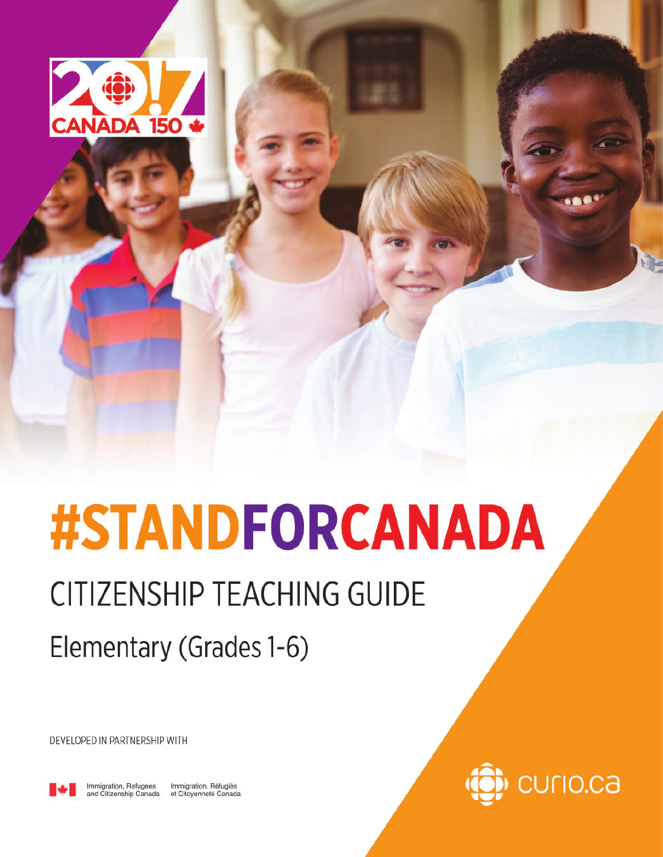

# **#STANDFORCANADA**

# **CITIZENSHIP TEACHING GUIDE**

Elementary (Grades 1-6)

DEVELOPED IN PARTNERSHIP WITH



Immigration, Refugees Immigration, Réfugiés and Citizenship Canada et Citoyenneté Canada

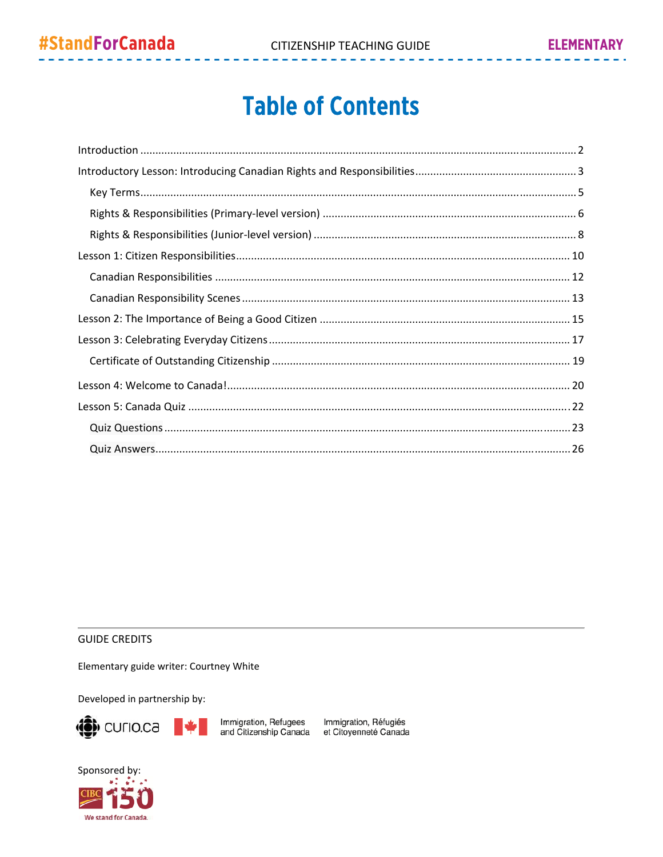### **Table of Contents**

#### **GUIDE CREDITS**

Elementary guide writer: Courtney White

Developed in partnership by:



Immigration, Refugees Immigration, Réfugiés<br>and Citizenship Canada et Citoyenneté Canada

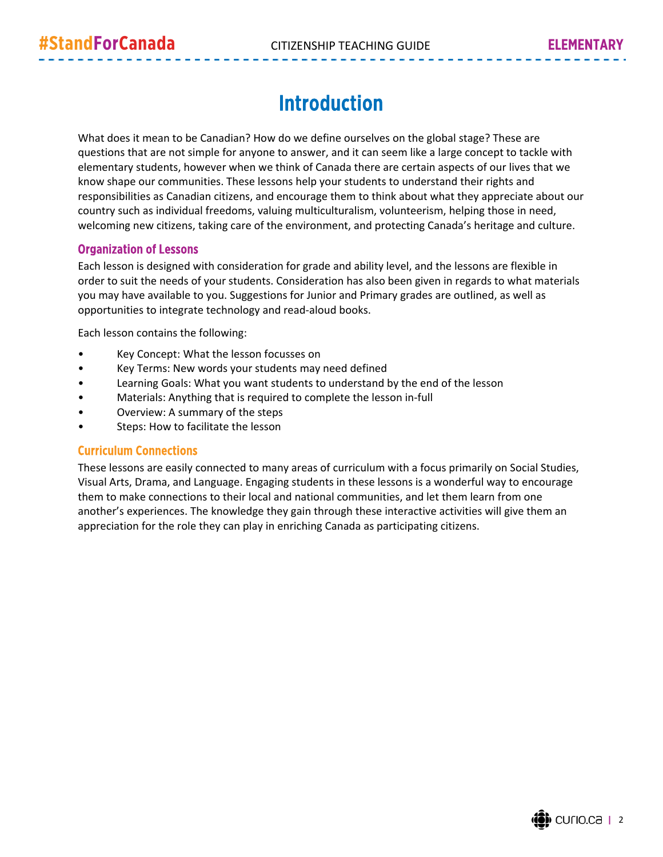### Introduction

What does it mean to be Canadian? How do we define ourselves on the global stage? These are questions that are not simple for anyone to answer, and it can seem like a large concept to tackle with elementary students, however when we think of Canada there are certain aspects of our lives that we know shape our communities. These lessons help your students to understand their rights and responsibilities as Canadian citizens, and encourage them to think about what they appreciate about our country such as individual freedoms, valuing multiculturalism, volunteerism, helping those in need, welcoming new citizens, taking care of the environment, and protecting Canada's heritage and culture.

#### Organization of Lessons

Each lesson is designed with consideration for grade and ability level, and the lessons are flexible in order to suit the needs of your students. Consideration has also been given in regards to what materials you may have available to you. Suggestions for Junior and Primary grades are outlined, as well as opportunities to integrate technology and read‐aloud books.

Each lesson contains the following:

- Key Concept: What the lesson focusses on
- Key Terms: New words your students may need defined
- Learning Goals: What you want students to understand by the end of the lesson
- Materials: Anything that is required to complete the lesson in-full
- Overview: A summary of the steps
- Steps: How to facilitate the lesson

#### Curriculum Connections

These lessons are easily connected to many areas of curriculum with a focus primarily on Social Studies, Visual Arts, Drama, and Language. Engaging students in these lessons is a wonderful way to encourage them to make connections to their local and national communities, and let them learn from one another's experiences. The knowledge they gain through these interactive activities will give them an appreciation for the role they can play in enriching Canada as participating citizens.

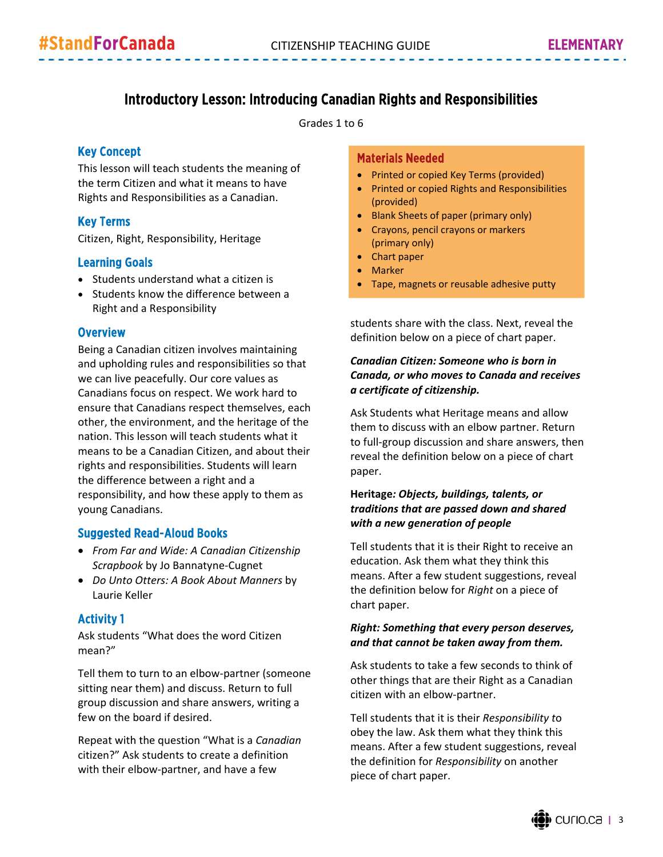#### Introductory Lesson: Introducing Canadian Rights and Responsibilities

Grades 1 to 6

#### Key Concept

This lesson will teach students the meaning of the term Citizen and what it means to have Rights and Responsibilities as a Canadian.

#### Key Terms

Citizen, Right, Responsibility, Heritage

#### Learning Goals

- Students understand what a citizen is
- Students know the difference between a Right and a Responsibility

#### **Overview**

Being a Canadian citizen involves maintaining and upholding rules and responsibilities so that we can live peacefully. Our core values as Canadians focus on respect. We work hard to ensure that Canadians respect themselves, each other, the environment, and the heritage of the nation. This lesson will teach students what it means to be a Canadian Citizen, and about their rights and responsibilities. Students will learn the difference between a right and a responsibility, and how these apply to them as young Canadians.

#### Suggested Read-Aloud Books

- *From Far and Wide: A Canadian Citizenship Scrapbook* by Jo Bannatyne‐Cugnet
- *Do Unto Otters: A Book About Manners* by Laurie Keller

#### Activity 1

Ask students "What does the word Citizen mean?"

Tell them to turn to an elbow‐partner (someone sitting near them) and discuss. Return to full group discussion and share answers, writing a few on the board if desired.

Repeat with the question "What is a *Canadian* citizen?" Ask students to create a definition with their elbow-partner, and have a few

#### Materials Needed

- Printed or copied Key Terms (provided)
- Printed or copied Rights and Responsibilities (provided)
- Blank Sheets of paper (primary only)
- Crayons, pencil crayons or markers (primary only)
- Chart paper
- Marker
- Tape, magnets or reusable adhesive putty

students share with the class. Next, reveal the definition below on a piece of chart paper.

#### *Canadian Citizen: Someone who is born in Canada, or who moves to Canada and receives a certificate of citizenship.*

Ask Students what Heritage means and allow them to discuss with an elbow partner. Return to full‐group discussion and share answers, then reveal the definition below on a piece of chart paper.

#### **Heritage***: Objects, buildings, talents, or traditions that are passed down and shared with a new generation of people*

Tell students that it is their Right to receive an education. Ask them what they think this means. After a few student suggestions, reveal the definition below for *Right* on a piece of chart paper.

#### *Right: Something that every person deserves, and that cannot be taken away from them.*

Ask students to take a few seconds to think of other things that are their Right as a Canadian citizen with an elbow‐partner.

Tell students that it is their *Responsibility t*o obey the law. Ask them what they think this means. After a few student suggestions, reveal the definition for *Responsibility* on another piece of chart paper.

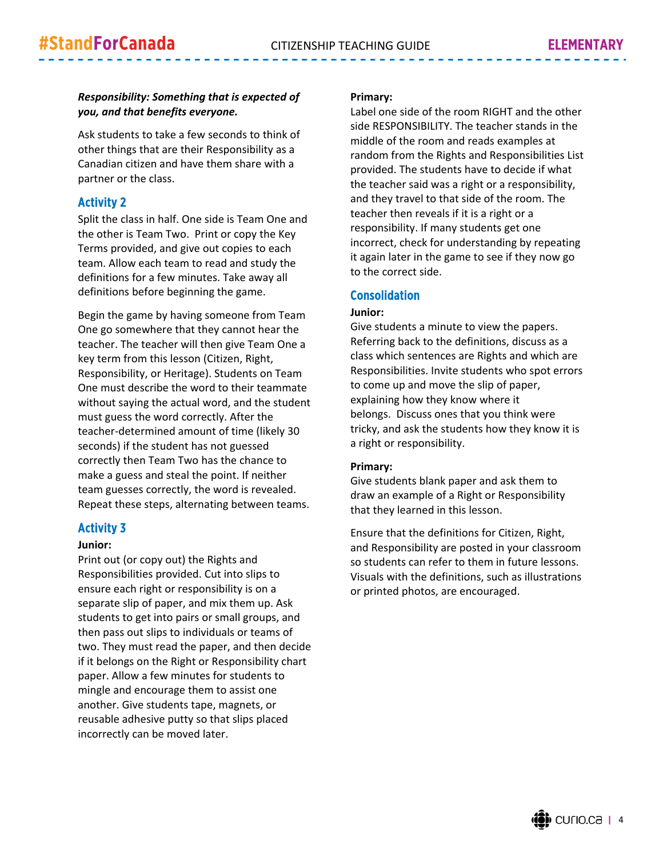#### *Responsibility: Something that is expected of you, and that benefits everyone.*

Ask students to take a few seconds to think of other things that are their Responsibility as a Canadian citizen and have them share with a partner or the class.

#### Activity 2

Split the class in half. One side is Team One and the other is Team Two. Print or copy the Key Terms provided, and give out copies to each team. Allow each team to read and study the definitions for a few minutes. Take away all definitions before beginning the game.

Begin the game by having someone from Team One go somewhere that they cannot hear the teacher. The teacher will then give Team One a key term from this lesson (Citizen, Right, Responsibility, or Heritage). Students on Team One must describe the word to their teammate without saying the actual word, and the student must guess the word correctly. After the teacher‐determined amount of time (likely 30 seconds) if the student has not guessed correctly then Team Two has the chance to make a guess and steal the point. If neither team guesses correctly, the word is revealed. Repeat these steps, alternating between teams.

#### Activity 3

#### **Junior:**

Print out (or copy out) the Rights and Responsibilities provided. Cut into slips to ensure each right or responsibility is on a separate slip of paper, and mix them up. Ask students to get into pairs or small groups, and then pass out slips to individuals or teams of two. They must read the paper, and then decide if it belongs on the Right or Responsibility chart paper. Allow a few minutes for students to mingle and encourage them to assist one another. Give students tape, magnets, or reusable adhesive putty so that slips placed incorrectly can be moved later.

#### **Primary:**

Label one side of the room RIGHT and the other side RESPONSIBILITY. The teacher stands in the middle of the room and reads examples at random from the Rights and Responsibilities List provided. The students have to decide if what the teacher said was a right or a responsibility, and they travel to that side of the room. The teacher then reveals if it is a right or a responsibility. If many students get one incorrect, check for understanding by repeating it again later in the game to see if they now go to the correct side.

#### Consolidation

#### **Junior:**

Give students a minute to view the papers. Referring back to the definitions, discuss as a class which sentences are Rights and which are Responsibilities. Invite students who spot errors to come up and move the slip of paper, explaining how they know where it belongs. Discuss ones that you think were tricky, and ask the students how they know it is a right or responsibility.

#### **Primary:**

Give students blank paper and ask them to draw an example of a Right or Responsibility that they learned in this lesson.

Ensure that the definitions for Citizen, Right, and Responsibility are posted in your classroom so students can refer to them in future lessons. Visuals with the definitions, such as illustrations or printed photos, are encouraged.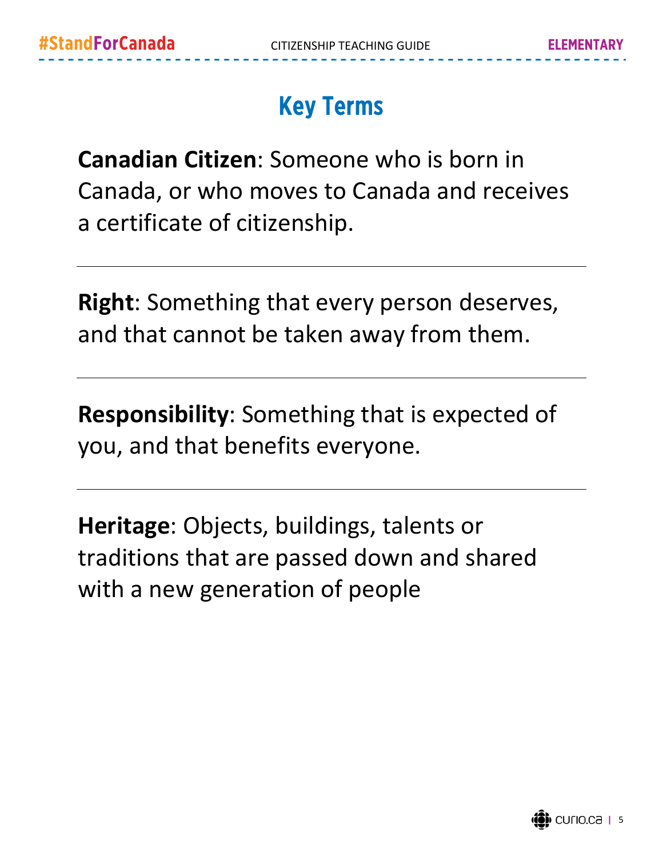### Key Terms

**Canadian Citizen**: Someone who is born in Canada, or who moves to Canada and receives a certificate of citizenship.

**Right**: Something that every person deserves, and that cannot be taken away from them.

**Responsibility**: Something that is expected of you, and that benefits everyone.

**Heritage**: Objects, buildings, talents or traditions that are passed down and shared with a new generation of people

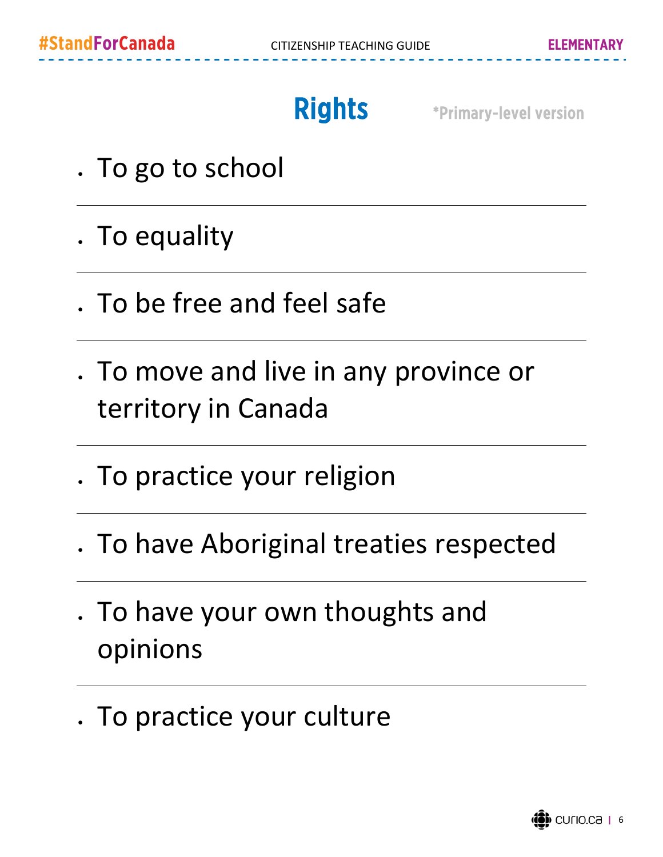Rights \*Primary-level version

- . To go to school
- . To equality
- To be free and feel safe
- . To move and live in any province or territory in Canada
- . To practice your religion
- To have Aboriginal treaties respected
- To have your own thoughts and opinions
- . To practice your culture

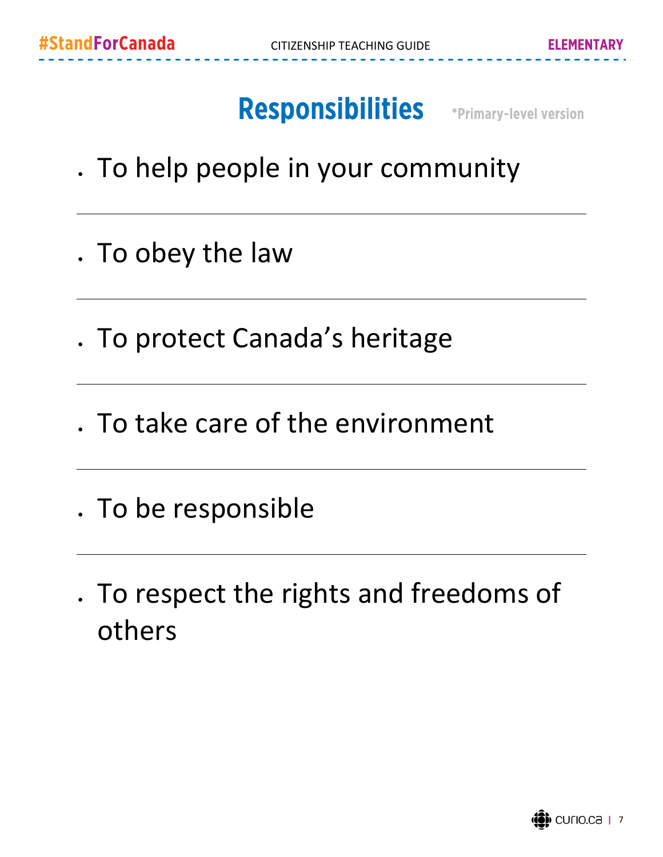# Responsibilities \*Primary-level version

- To help people in your community
- . To obey the law
- . To protect Canada's heritage
- To take care of the environment
- To be responsible
- To respect the rights and freedoms of others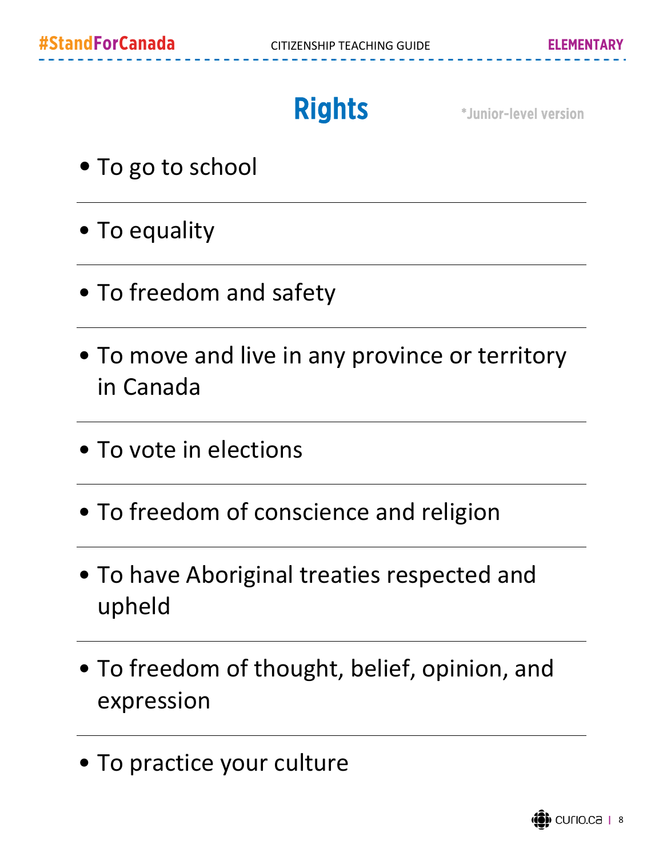Rights **\*Junior-level version** 

- To go to school
- To equality
- To freedom and safety
- To move and live in any province or territory in Canada
- To vote in elections
- To freedom of conscience and religion
- To have Aboriginal treaties respected and upheld
- To freedom of thought, belief, opinion, and expression
- To practice your culture

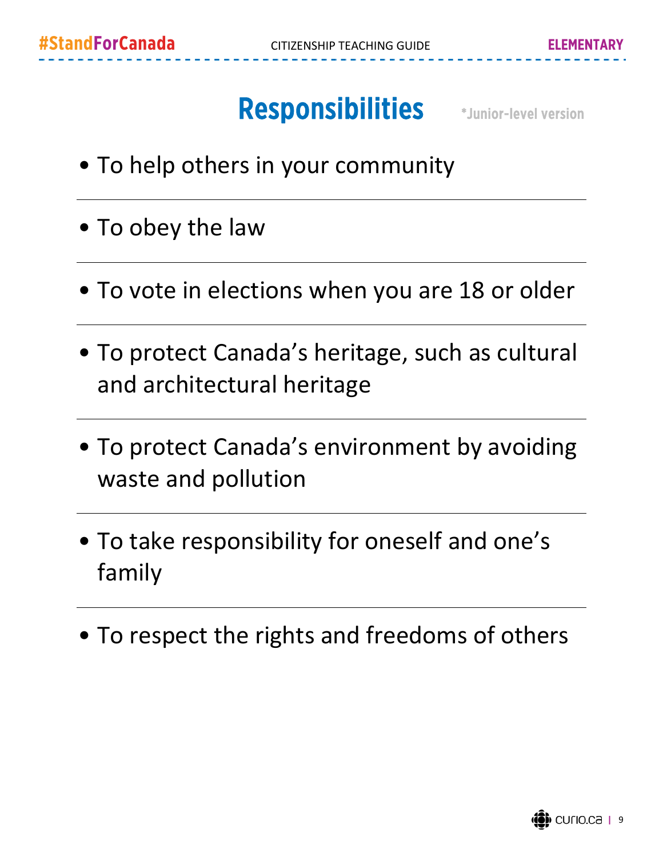# Responsibilities **\*Junior-level version**

- To help others in your community
- To obey the law
- To vote in elections when you are 18 or older
- To protect Canada's heritage, such as cultural and architectural heritage
- To protect Canada's environment by avoiding waste and pollution
- To take responsibility for oneself and one's family
- To respect the rights and freedoms of others

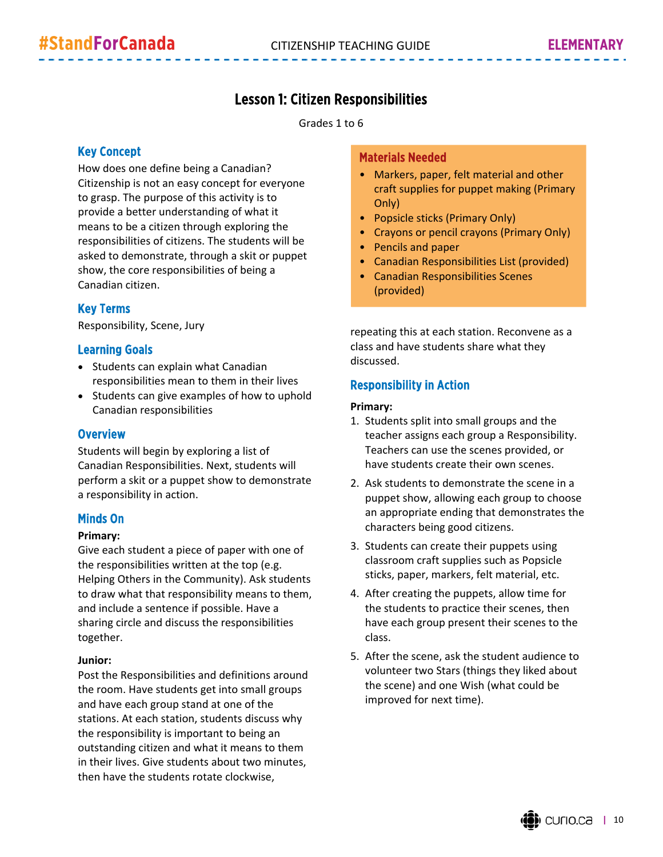#### Lesson 1: Citizen Responsibilities

Grades 1 to 6

#### Key Concept

How does one define being a Canadian? Citizenship is not an easy concept for everyone to grasp. The purpose of this activity is to provide a better understanding of what it means to be a citizen through exploring the responsibilities of citizens. The students will be asked to demonstrate, through a skit or puppet show, the core responsibilities of being a Canadian citizen.

#### Key Terms

Responsibility, Scene, Jury

#### Learning Goals

- Students can explain what Canadian responsibilities mean to them in their lives
- Students can give examples of how to uphold Canadian responsibilities

#### **Overview**

Students will begin by exploring a list of Canadian Responsibilities. Next, students will perform a skit or a puppet show to demonstrate a responsibility in action.

#### Minds On

#### **Primary:**

Give each student a piece of paper with one of the responsibilities written at the top (e.g. Helping Others in the Community). Ask students to draw what that responsibility means to them, and include a sentence if possible. Have a sharing circle and discuss the responsibilities together.

#### **Junior:**

Post the Responsibilities and definitions around the room. Have students get into small groups and have each group stand at one of the stations. At each station, students discuss why the responsibility is important to being an outstanding citizen and what it means to them in their lives. Give students about two minutes, then have the students rotate clockwise,

#### Materials Needed

- Markers, paper, felt material and other craft supplies for puppet making (Primary Only)
- Popsicle sticks (Primary Only)
- Crayons or pencil crayons (Primary Only)
- Pencils and paper
- Canadian Responsibilities List (provided)
- Canadian Responsibilities Scenes (provided)

repeating this at each station. Reconvene as a class and have students share what they discussed.

#### Responsibility in Action

#### **Primary:**

- 1. Students split into small groups and the teacher assigns each group a Responsibility. Teachers can use the scenes provided, or have students create their own scenes.
- 2. Ask students to demonstrate the scene in a puppet show, allowing each group to choose an appropriate ending that demonstrates the characters being good citizens.
- 3. Students can create their puppets using classroom craft supplies such as Popsicle sticks, paper, markers, felt material, etc.
- 4. After creating the puppets, allow time for the students to practice their scenes, then have each group present their scenes to the class.
- 5. After the scene, ask the student audience to volunteer two Stars (things they liked about the scene) and one Wish (what could be improved for next time).

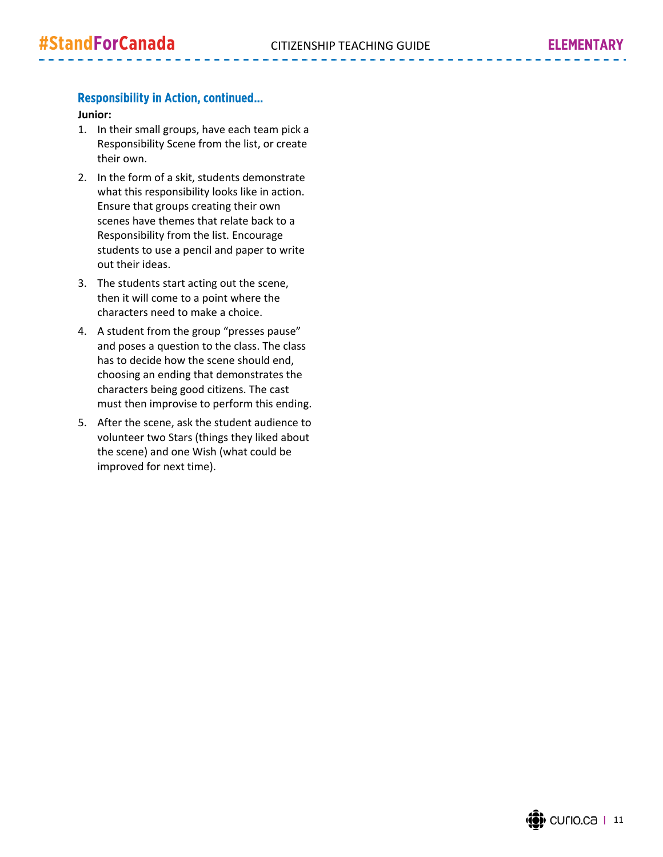#### Responsibility in Action, continued…

#### **Junior:**

- 1. In their small groups, have each team pick a Responsibility Scene from the list, or create their own.
- 2. In the form of a skit, students demonstrate what this responsibility looks like in action. Ensure that groups creating their own scenes have themes that relate back to a Responsibility from the list. Encourage students to use a pencil and paper to write out their ideas.
- 3. The students start acting out the scene, then it will come to a point where the characters need to make a choice.
- 4. A student from the group "presses pause" and poses a question to the class. The class has to decide how the scene should end, choosing an ending that demonstrates the characters being good citizens. The cast must then improvise to perform this ending.
- 5. After the scene, ask the student audience to volunteer two Stars (things they liked about the scene) and one Wish (what could be improved for next time).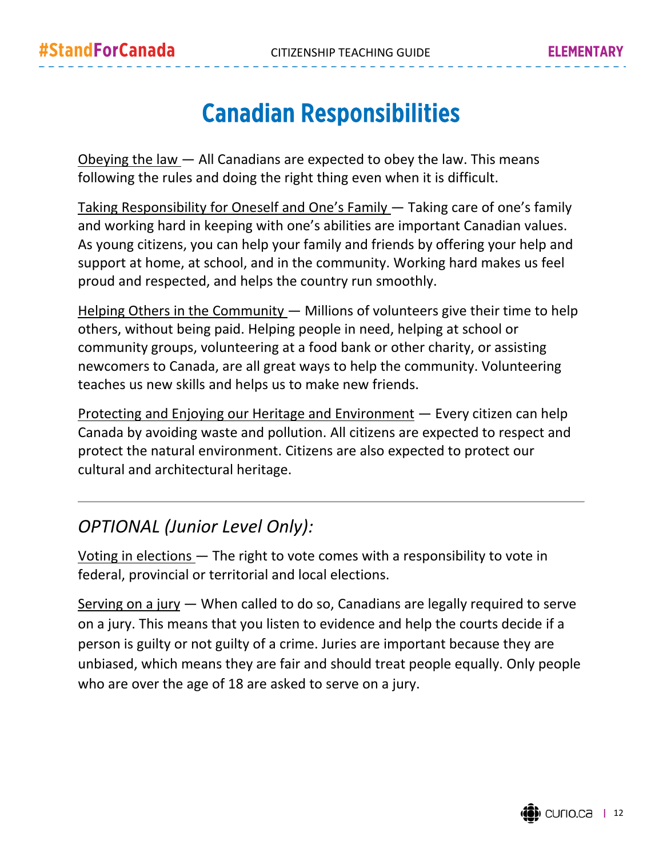### Canadian Responsibilities

Obeying the law — All Canadians are expected to obey the law. This means following the rules and doing the right thing even when it is difficult.

Taking Responsibility for Oneself and One's Family — Taking care of one's family and working hard in keeping with one's abilities are important Canadian values. As young citizens, you can help your family and friends by offering your help and support at home, at school, and in the community. Working hard makes us feel proud and respected, and helps the country run smoothly.

Helping Others in the Community - Millions of volunteers give their time to help others, without being paid. Helping people in need, helping at school or community groups, volunteering at a food bank or other charity, or assisting newcomers to Canada, are all great ways to help the community. Volunteering teaches us new skills and helps us to make new friends.

Protecting and Enjoying our Heritage and Environment — Every citizen can help Canada by avoiding waste and pollution. All citizens are expected to respect and protect the natural environment. Citizens are also expected to protect our cultural and architectural heritage.

### *OPTIONAL (Junior Level Only):*

Voting in elections — The right to vote comes with a responsibility to vote in federal, provincial or territorial and local elections.

Serving on a jury — When called to do so, Canadians are legally required to serve on a jury. This means that you listen to evidence and help the courts decide if a person is guilty or not guilty of a crime. Juries are important because they are unbiased, which means they are fair and should treat people equally. Only people who are over the age of 18 are asked to serve on a jury.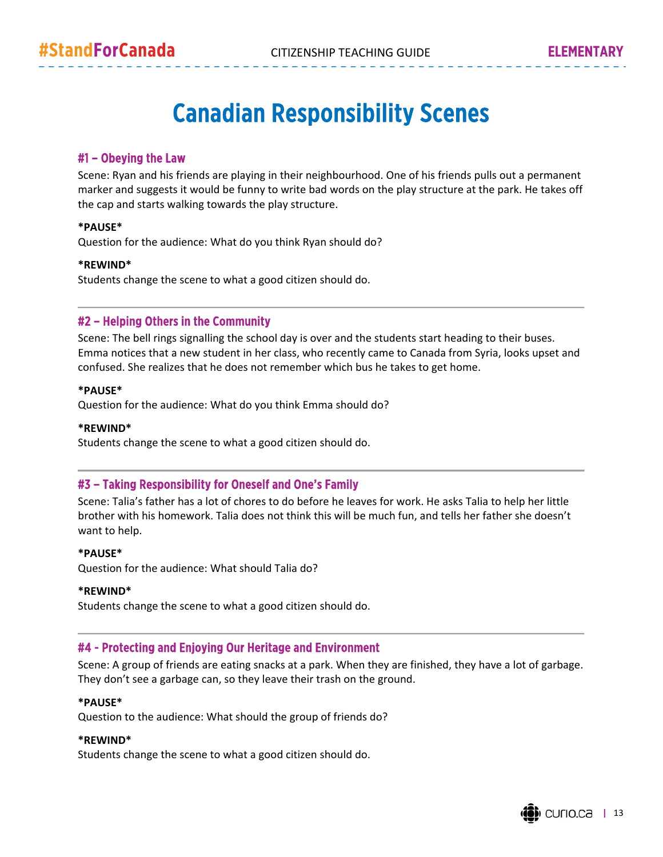### Canadian Responsibility Scenes

#### #1 – Obeying the Law

Scene: Ryan and his friends are playing in their neighbourhood. One of his friends pulls out a permanent marker and suggests it would be funny to write bad words on the play structure at the park. He takes off the cap and starts walking towards the play structure.

#### **\*PAUSE\***

Question for the audience: What do you think Ryan should do?

#### **\*REWIND\***

Students change the scene to what a good citizen should do.

#### #2 – Helping Others in the Community

Scene: The bell rings signalling the school day is over and the students start heading to their buses. Emma notices that a new student in her class, who recently came to Canada from Syria, looks upset and confused. She realizes that he does not remember which bus he takes to get home.

#### **\*PAUSE\***

Question for the audience: What do you think Emma should do?

#### **\*REWIND\***

Students change the scene to what a good citizen should do.

#### #3 – Taking Responsibility for Oneself and One's Family

Scene: Talia's father has a lot of chores to do before he leaves for work. He asks Talia to help her little brother with his homework. Talia does not think this will be much fun, and tells her father she doesn't want to help.

#### **\*PAUSE\***

Question for the audience: What should Talia do?

#### **\*REWIND\***

Students change the scene to what a good citizen should do.

#### #4 - Protecting and Enjoying Our Heritage and Environment

Scene: A group of friends are eating snacks at a park. When they are finished, they have a lot of garbage. They don't see a garbage can, so they leave their trash on the ground.

#### **\*PAUSE\***

Question to the audience: What should the group of friends do?

#### **\*REWIND\***

Students change the scene to what a good citizen should do.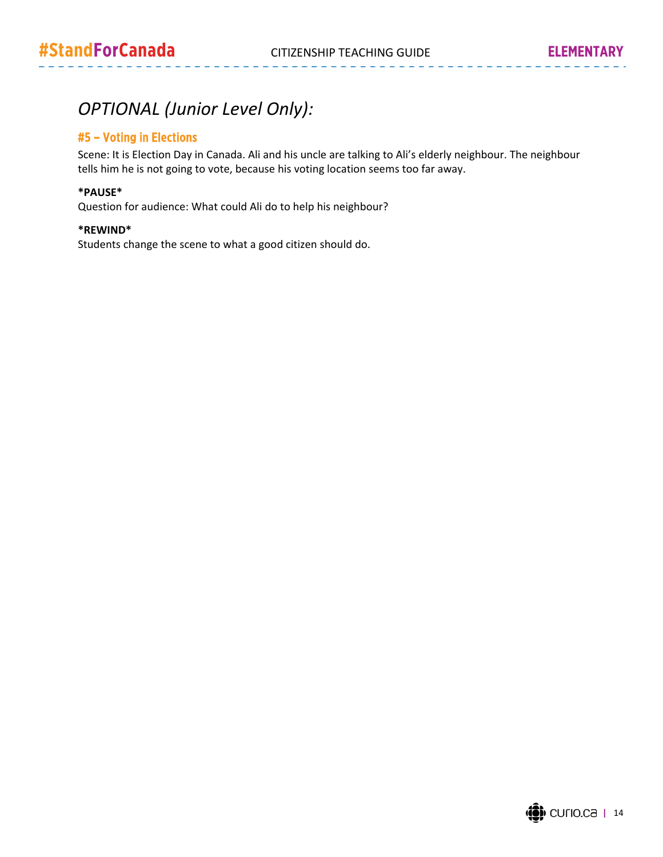. . . . . . . . . . . . .

### *OPTIONAL (Junior Level Only):*

#### #5 – Voting in Elections

Scene: It is Election Day in Canada. Ali and his uncle are talking to Ali's elderly neighbour. The neighbour tells him he is not going to vote, because his voting location seems too far away.

#### **\*PAUSE\***

Question for audience: What could Ali do to help his neighbour?

#### **\*REWIND\***

Students change the scene to what a good citizen should do.

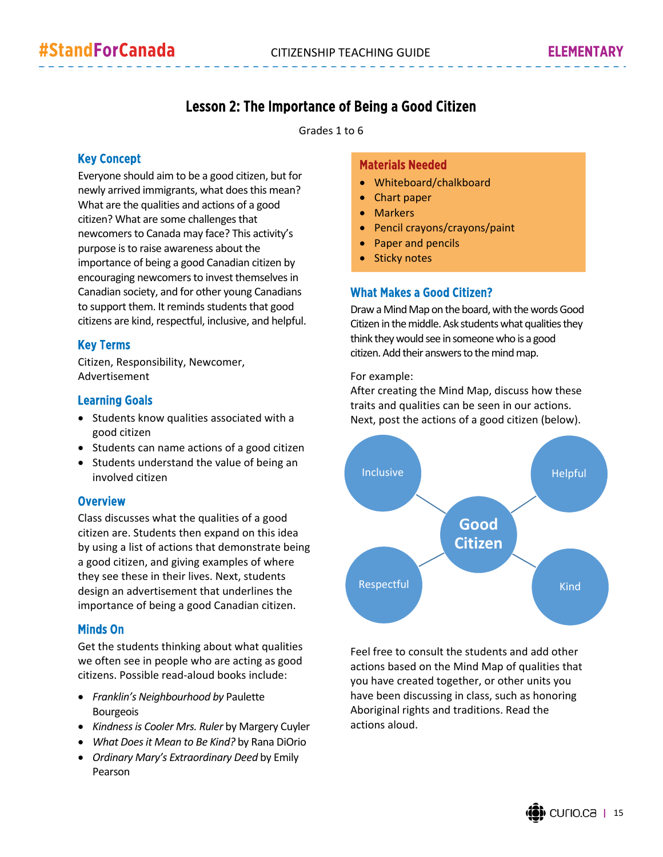### Lesson 2: The Importance of Being a Good Citizen

Grades 1 to 6

#### Key Concept

Everyone should aim to be a good citizen, but for newly arrived immigrants, what does this mean? What are the qualities and actions of a good citizen? What are some challenges that newcomers to Canada may face? This activity's purpose is to raise awareness about the importance of being a good Canadian citizen by encouraging newcomers to invest themselves in Canadian society, and for other young Canadians to support them. It reminds students that good citizens are kind, respectful, inclusive, and helpful.

#### Key Terms

Citizen, Responsibility, Newcomer, Advertisement

#### Learning Goals

- Students know qualities associated with a good citizen
- Students can name actions of a good citizen
- Students understand the value of being an involved citizen

#### **Overview**

Class discusses what the qualities of a good citizen are. Students then expand on this idea by using a list of actions that demonstrate being a good citizen, and giving examples of where they see these in their lives. Next, students design an advertisement that underlines the importance of being a good Canadian citizen.

#### Minds On

Get the students thinking about what qualities we often see in people who are acting as good citizens. Possible read‐aloud books include:

- *Franklin's Neighbourhood by* Paulette Bourgeois
- *Kindnessis Cooler Mrs. Ruler* by Margery Cuyler
- *What Doesit Mean to Be Kind?* by Rana DiOrio
- *Ordinary Mary's Extraordinary Deed* by Emily Pearson

#### Materials Needed

- Whiteboard/chalkboard
- Chart paper
- Markers
- Pencil crayons/crayons/paint
- Paper and pencils
- Sticky notes

#### What Makes a Good Citizen?

Draw a Mind Map on the board, with the words Good Citizen in the middle. Ask students what qualities they think they would see in someone who is a good citizen. Add their answers to the mind map.

For example:

After creating the Mind Map, discuss how these traits and qualities can be seen in our actions. Next, post the actions of a good citizen (below).



Feel free to consult the students and add other actions based on the Mind Map of qualities that you have created together, or other units you have been discussing in class, such as honoring Aboriginal rights and traditions. Read the actions aloud.

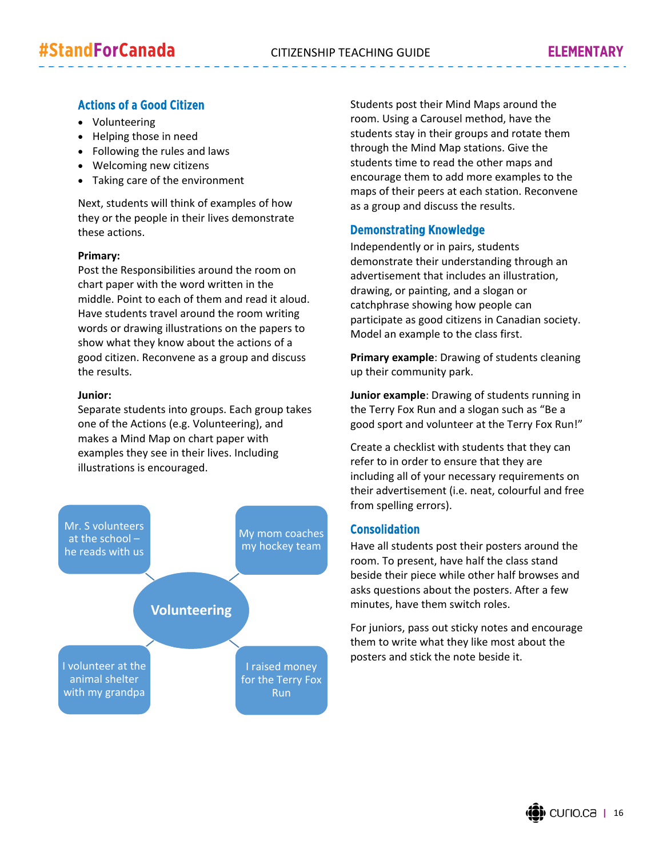#### Actions of a Good Citizen

- Volunteering
- Helping those in need
- Following the rules and laws
- Welcoming new citizens
- Taking care of the environment

Next, students will think of examples of how they or the people in their lives demonstrate these actions.

#### **Primary:**

Post the Responsibilities around the room on chart paper with the word written in the middle. Point to each of them and read it aloud. Have students travel around the room writing words or drawing illustrations on the papers to show what they know about the actions of a good citizen. Reconvene as a group and discuss the results.

#### **Junior:**

Separate students into groups. Each group takes one of the Actions (e.g. Volunteering), and makes a Mind Map on chart paper with examples they see in their lives. Including illustrations is encouraged.



Students post their Mind Maps around the room. Using a Carousel method, have the students stay in their groups and rotate them through the Mind Map stations. Give the students time to read the other maps and encourage them to add more examples to the maps of their peers at each station. Reconvene as a group and discuss the results.

#### Demonstrating Knowledge

Independently or in pairs, students demonstrate their understanding through an advertisement that includes an illustration, drawing, or painting, and a slogan or catchphrase showing how people can participate as good citizens in Canadian society. Model an example to the class first.

**Primary example**: Drawing of students cleaning up their community park.

**Junior example**: Drawing of students running in the Terry Fox Run and a slogan such as "Be a good sport and volunteer at the Terry Fox Run!"

Create a checklist with students that they can refer to in order to ensure that they are including all of your necessary requirements on their advertisement (i.e. neat, colourful and free from spelling errors).

#### Consolidation

Have all students post their posters around the room. To present, have half the class stand beside their piece while other half browses and asks questions about the posters. After a few minutes, have them switch roles.

For juniors, pass out sticky notes and encourage them to write what they like most about the posters and stick the note beside it.

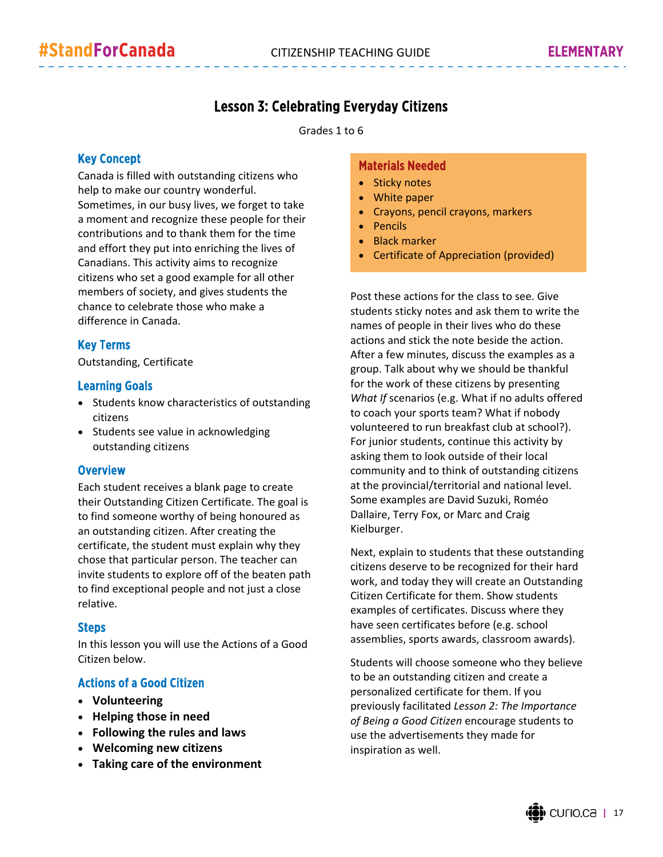### Lesson 3: Celebrating Everyday Citizens

Grades 1 to 6

#### Key Concept

Canada is filled with outstanding citizens who help to make our country wonderful. Sometimes, in our busy lives, we forget to take a moment and recognize these people for their contributions and to thank them for the time and effort they put into enriching the lives of Canadians. This activity aims to recognize citizens who set a good example for all other members of society, and gives students the chance to celebrate those who make a difference in Canada.

#### Key Terms

Outstanding, Certificate

#### Learning Goals

- Students know characteristics of outstanding citizens
- Students see value in acknowledging outstanding citizens

#### **Overview**

Each student receives a blank page to create their Outstanding Citizen Certificate. The goal is to find someone worthy of being honoured as an outstanding citizen. After creating the certificate, the student must explain why they chose that particular person. The teacher can invite students to explore off of the beaten path to find exceptional people and not just a close relative.

#### Steps

In this lesson you will use the Actions of a Good Citizen below.

#### Actions of a Good Citizen

- **Volunteering**
- **Helping those in need**
- **Following the rules and laws**
- **Welcoming new citizens**
- **Taking care of the environment**

#### Materials Needed

- Sticky notes
- White paper
- Crayons, pencil crayons, markers
- Pencils
- Black marker
- Certificate of Appreciation (provided)

Post these actions for the class to see. Give students sticky notes and ask them to write the names of people in their lives who do these actions and stick the note beside the action. After a few minutes, discuss the examples as a group. Talk about why we should be thankful for the work of these citizens by presenting *What If* scenarios (e.g. What if no adults offered to coach your sports team? What if nobody volunteered to run breakfast club at school?). For junior students, continue this activity by asking them to look outside of their local community and to think of outstanding citizens at the provincial/territorial and national level. Some examples are David Suzuki, Roméo Dallaire, Terry Fox, or Marc and Craig Kielburger.

Next, explain to students that these outstanding citizens deserve to be recognized for their hard work, and today they will create an Outstanding Citizen Certificate for them. Show students examples of certificates. Discuss where they have seen certificates before (e.g. school assemblies, sports awards, classroom awards).

Students will choose someone who they believe to be an outstanding citizen and create a personalized certificate for them. If you previously facilitated *Lesson 2: The Importance of Being a Good Citizen* encourage students to use the advertisements they made for inspiration as well.

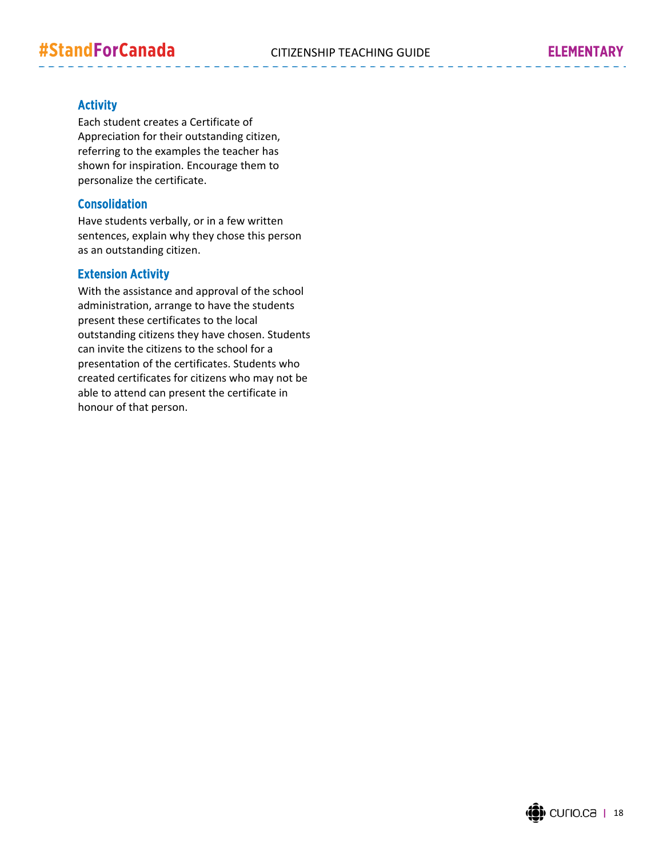. . . . . . .

#### **Activity**

Each student creates a Certificate of Appreciation for their outstanding citizen, referring to the examples the teacher has shown for inspiration. Encourage them to personalize the certificate.

#### Consolidation

Have students verbally, or in a few written sentences, explain why they chose this person as an outstanding citizen.

#### Extension Activity

With the assistance and approval of the school administration, arrange to have the students present these certificates to the local outstanding citizens they have chosen. Students can invite the citizens to the school for a presentation of the certificates. Students who created certificates for citizens who may not be able to attend can present the certificate in honour of that person.

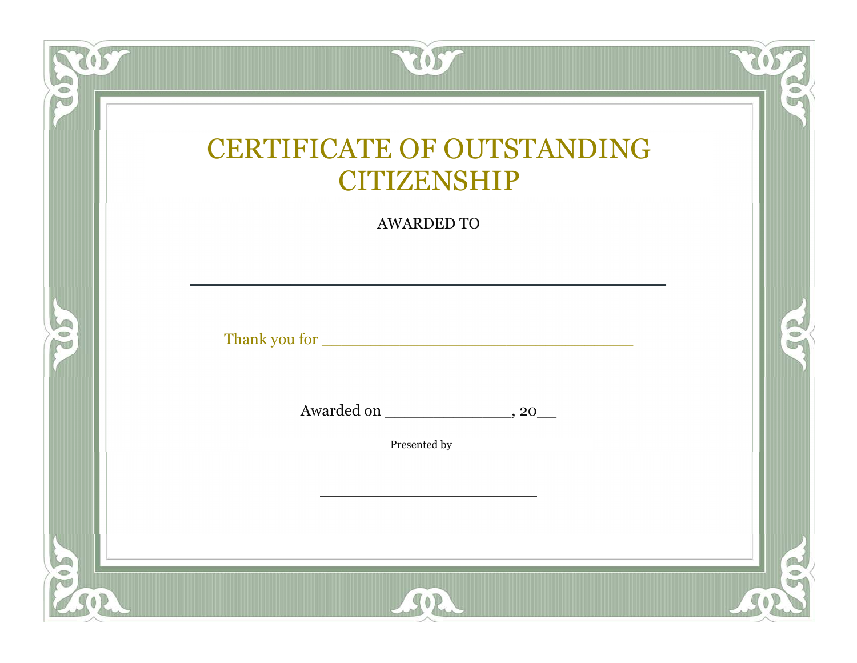| Fol        | 205                                                                          |            |
|------------|------------------------------------------------------------------------------|------------|
|            | <b>CERTIFICATE OF OUTSTANDING</b><br><b>CITIZENSHIP</b><br><b>AWARDED TO</b> |            |
| <b>SOL</b> |                                                                              | R          |
|            | Presented by                                                                 |            |
| 502<br>SOR | ASOR                                                                         | RON<br>SOP |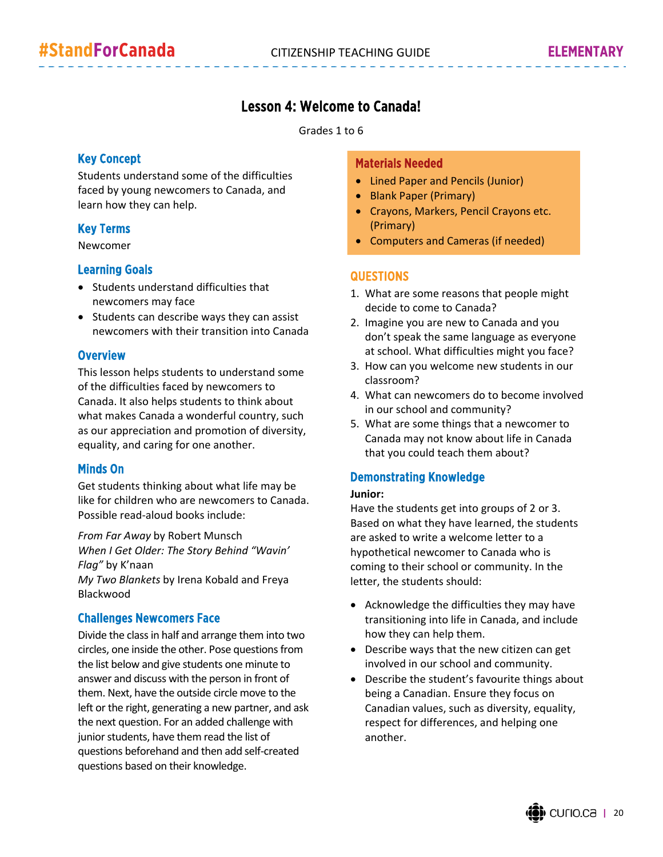#### Lesson 4: Welcome to Canada!

Grades 1 to 6

#### Key Concept

Students understand some of the difficulties faced by young newcomers to Canada, and learn how they can help.

#### Key Terms

Newcomer

#### Learning Goals

- Students understand difficulties that newcomers may face
- Students can describe ways they can assist newcomers with their transition into Canada

#### **Overview**

This lesson helps students to understand some of the difficulties faced by newcomers to Canada. It also helps students to think about what makes Canada a wonderful country, such as our appreciation and promotion of diversity, equality, and caring for one another.

#### Minds On

Blackwood

Get students thinking about what life may be like for children who are newcomers to Canada. Possible read‐aloud books include:

*From Far Away* by Robert Munsch *When I Get Older: The Story Behind "Wavin' Flag"* by K'naan *My Two Blankets* by Irena Kobald and Freya

#### Challenges Newcomers Face

Divide the classin half and arrange them into two circles, one inside the other. Pose questions from the list below and give students one minute to answer and discuss with the person in front of them. Next, have the outside circle move to the left or the right, generating a new partner, and ask the next question. For an added challenge with junior students, have them read the list of questions beforehand and then add self‐created questions based on their knowledge.

#### Materials Needed

- Lined Paper and Pencils (Junior)
- Blank Paper (Primary)
- Crayons, Markers, Pencil Crayons etc. (Primary)
- Computers and Cameras (if needed)

#### **QUESTIONS**

- 1. What are some reasons that people might decide to come to Canada?
- 2. Imagine you are new to Canada and you don't speak the same language as everyone at school. What difficulties might you face?
- 3. How can you welcome new students in our classroom?
- 4. What can newcomers do to become involved in our school and community?
- 5. What are some things that a newcomer to Canada may not know about life in Canada that you could teach them about?

#### Demonstrating Knowledge

#### **Junior:**

Have the students get into groups of 2 or 3. Based on what they have learned, the students are asked to write a welcome letter to a hypothetical newcomer to Canada who is coming to their school or community. In the letter, the students should:

- Acknowledge the difficulties they may have transitioning into life in Canada, and include how they can help them.
- Describe ways that the new citizen can get involved in our school and community.
- Describe the student's favourite things about being a Canadian. Ensure they focus on Canadian values, such as diversity, equality, respect for differences, and helping one another.

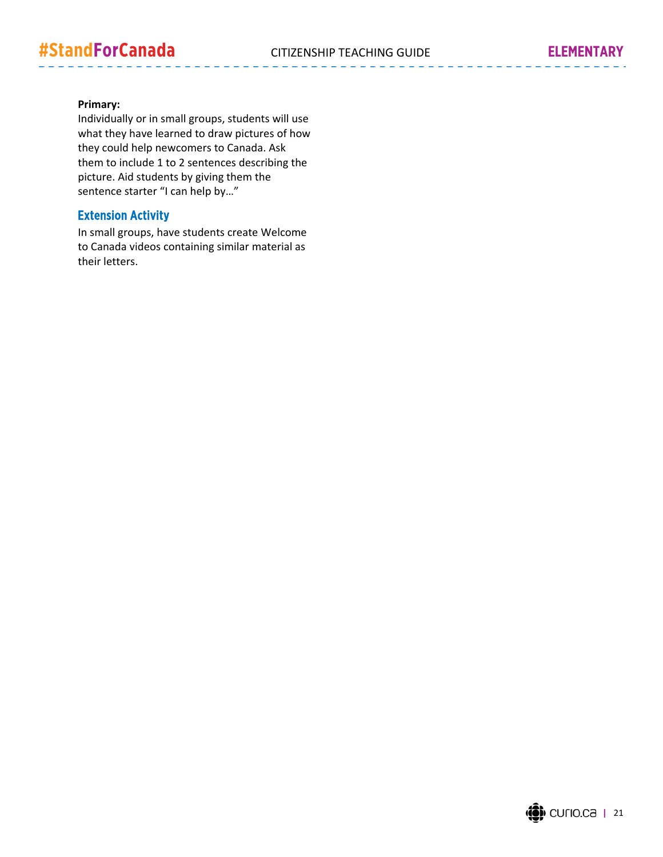#### **Primary:**

Individually or in small groups, students will use what they have learned to draw pictures of how they could help newcomers to Canada. Ask them to include 1 to 2 sentences describing the picture. Aid students by giving them the sentence starter "I can help by…"

#### Extension Activity

In small groups, have students create Welcome to Canada videos containing similar material as their letters.

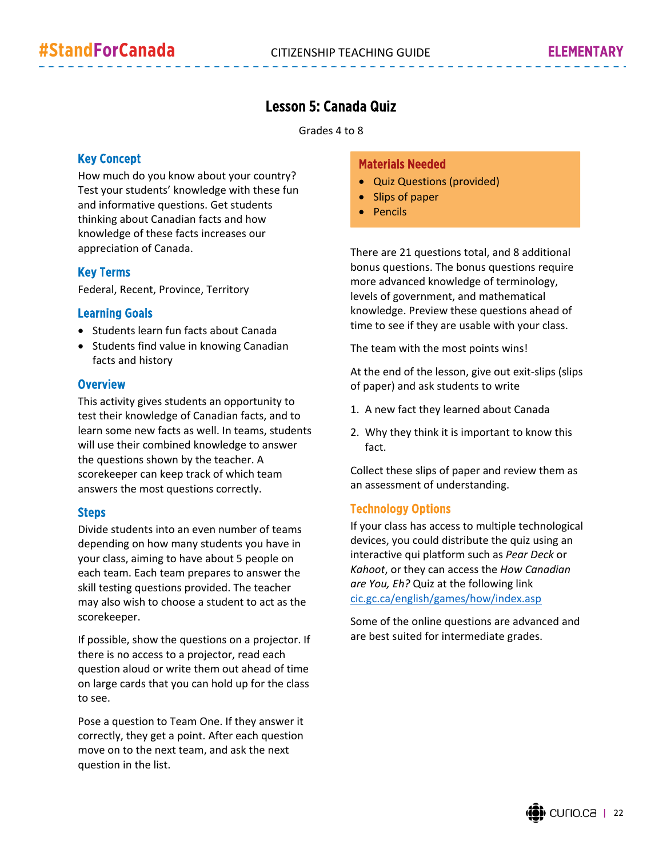#### Lesson 5: Canada Quiz

Grades 4 to 8

#### Key Concept

How much do you know about your country? Test your students' knowledge with these fun and informative questions. Get students thinking about Canadian facts and how knowledge of these facts increases our appreciation of Canada.

#### Key Terms

Federal, Recent, Province, Territory

#### Learning Goals

- Students learn fun facts about Canada
- Students find value in knowing Canadian facts and history

#### **Overview**

This activity gives students an opportunity to test their knowledge of Canadian facts, and to learn some new facts as well. In teams, students will use their combined knowledge to answer the questions shown by the teacher. A scorekeeper can keep track of which team answers the most questions correctly.

#### Steps

Divide students into an even number of teams depending on how many students you have in your class, aiming to have about 5 people on each team. Each team prepares to answer the skill testing questions provided. The teacher may also wish to choose a student to act as the scorekeeper.

If possible, show the questions on a projector. If there is no access to a projector, read each question aloud or write them out ahead of time on large cards that you can hold up for the class to see.

Pose a question to Team One. If they answer it correctly, they get a point. After each question move on to the next team, and ask the next question in the list.

#### Materials Needed

- Quiz Questions (provided)
- Slips of paper
- Pencils

There are 21 questions total, and 8 additional bonus questions. The bonus questions require more advanced knowledge of terminology, levels of government, and mathematical knowledge. Preview these questions ahead of time to see if they are usable with your class.

The team with the most points wins!

At the end of the lesson, give out exit‐slips (slips of paper) and ask students to write

- 1. A new fact they learned about Canada
- 2. Why they think it is important to know this fact.

Collect these slips of paper and review them as an assessment of understanding.

#### Technology Options

If your class has access to multiple technological devices, you could distribute the quiz using an interactive qui platform such as *Pear Deck* or *Kahoot*, or they can access the *How Canadian are You, Eh?* Quiz at the following link cic.gc.ca/english/games/how/index.asp

Some of the online questions are advanced and are best suited for intermediate grades.

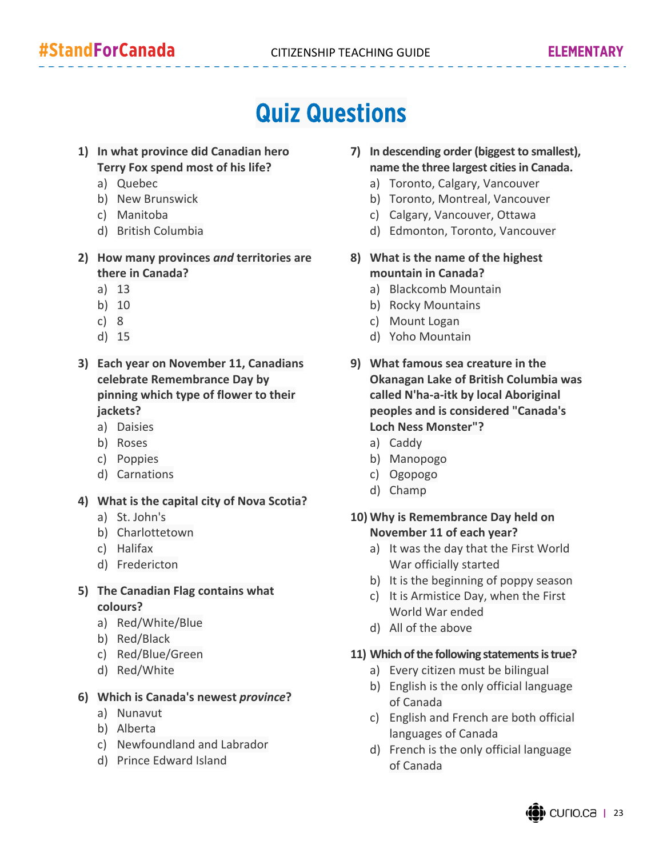### Quiz Questions

- **1) In what province did Canadian hero Terry Fox spend most of his life?**
	- a) Quebec
	- b) New Brunswick
	- c) Manitoba
	- d) British Columbia
- **2) How many provinces** *and* **territories are there in Canada?**
	- a) 13
	- b) 10
	- c) 8
	- d) 15
- **3) Each year on November 11, Canadians celebrate Remembrance Day by pinning which type of flower to their jackets?**
	- a) Daisies
	- b) Roses
	- c) Poppies
	- d) Carnations
- **4) What is the capital city of Nova Scotia?**
	- a) St. John's
	- b) Charlottetown
	- c) Halifax
	- d) Fredericton
- **5) The Canadian Flag contains what colours?**
	- a) Red/White/Blue
	- b) Red/Black
	- c) Red/Blue/Green
	- d) Red/White

#### **6) Which is Canada's newest** *province***?**

- a) Nunavut
- b) Alberta
- c) Newfoundland and Labrador
- d) Prince Edward Island
- **7) In descending order (biggest to smallest), name the three largest citiesin Canada.**
	- a) Toronto, Calgary, Vancouver
	- b) Toronto, Montreal, Vancouver
	- c) Calgary, Vancouver, Ottawa
	- d) Edmonton, Toronto, Vancouver
- **8) What is the name of the highest mountain in Canada?**
	- a) Blackcomb Mountain
	- b) Rocky Mountains
	- c) Mount Logan
	- d) Yoho Mountain
- **9) What famous sea creature in the Okanagan Lake of British Columbia was called N'ha‐a‐itk by local Aboriginal peoples and is considered "Canada's Loch Ness Monster"?**
	- a) Caddy
	- b) Manopogo
	- c) Ogopogo
	- d) Champ

**10) Why is Remembrance Day held on November 11 of each year?**

- a) It was the day that the First World War officially started
- b) It is the beginning of poppy season
- c) It is Armistice Day, when the First World War ended
- d) All of the above

#### 11) Which of the following statements is true?

- a) Every citizen must be bilingual
- b) English is the only official language of Canada
- c) English and French are both official languages of Canada
- d) French is the only official language of Canada

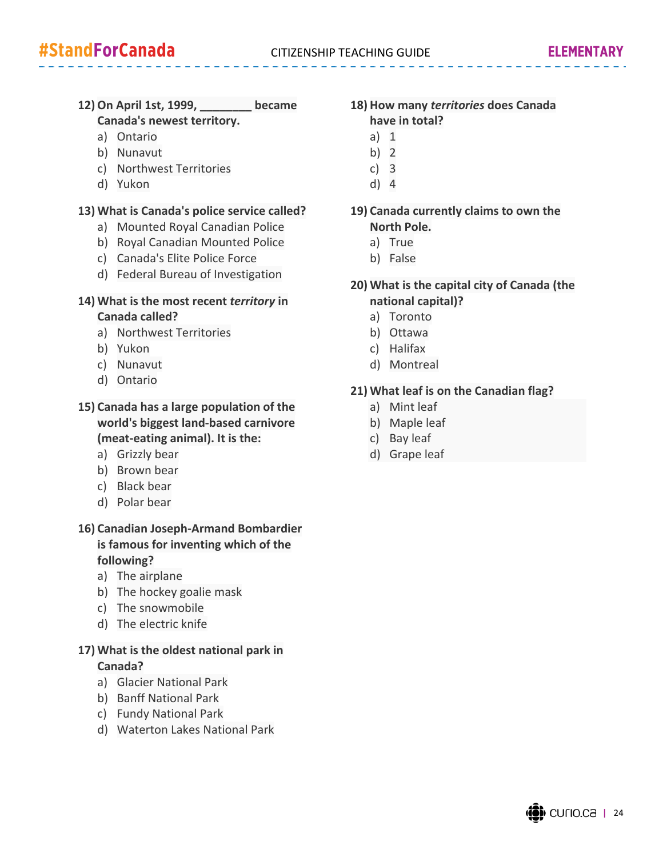#### **12) On April 1st, 1999, \_\_\_\_\_\_\_\_ became Canada's newest territory.**

- a) Ontario
- b) Nunavut
- c) Northwest Territories
- d) Yukon

#### **13) What is Canada's police service called?**

- a) Mounted Royal Canadian Police
- b) Royal Canadian Mounted Police
- c) Canada's Elite Police Force
- d) Federal Bureau of Investigation

#### **14) What is the most recent** *territory* **in Canada called?**

- a) Northwest Territories
- b) Yukon
- c) Nunavut
- d) Ontario

#### **15) Canada has a large population of the world's biggest land‐based carnivore (meat‐eating animal). It is the:**

- a) Grizzly bear
- b) Brown bear
- c) Black bear
- d) Polar bear

#### **16) Canadian Joseph‐Armand Bombardier is famous for inventing which of the following?**

- a) The airplane
- b) The hockey goalie mask
- c) The snowmobile
- d) The electric knife

#### **17) What is the oldest national park in Canada?**

- a) Glacier National Park
- b) Banff National Park
- c) Fundy National Park
- d) Waterton Lakes National Park

#### **18) How many** *territories* **does Canada have in total?**

- a) 1
- b) 2
- c) 3
- d) 4

#### **19) Canada currently claims to own the North Pole.**

- a) True
- b) False
	-

#### **20) What is the capital city of Canada (the national capital)?**

- a) Toronto
- b) Ottawa
- c) Halifax
- d) Montreal

#### **21) What leaf is on the Canadian flag?**

- a) Mint leaf
- b) Maple leaf
- c) Bay leaf
- d) Grape leaf

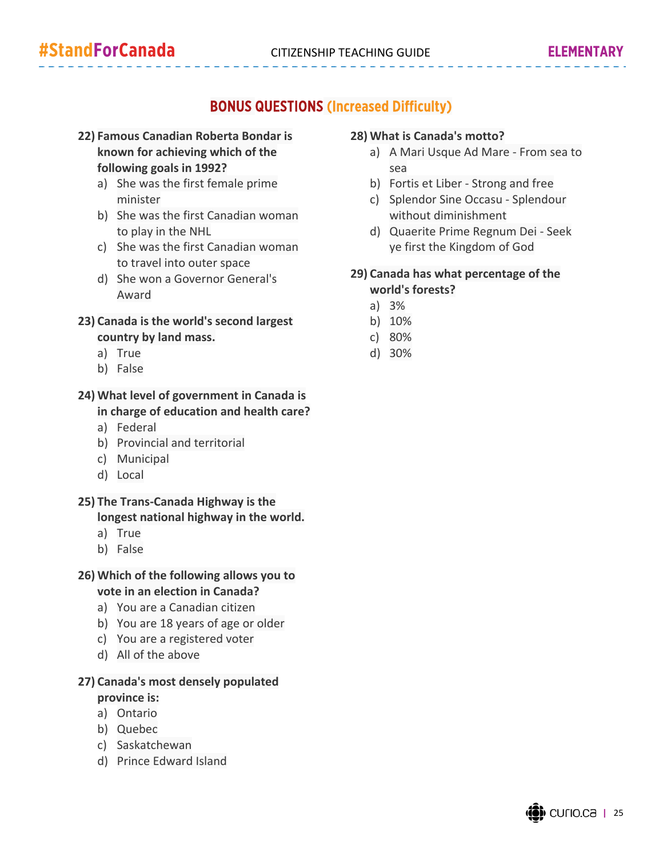#### BONUS QUESTIONS (Increased Difficulty)

- **22) Famous Canadian Roberta Bondar is known for achieving which of the following goals in 1992?**
	- a) She was the first female prime minister
	- b) She was the first Canadian woman to play in the NHL
	- c) She was the first Canadian woman to travel into outer space
	- d) She won a Governor General's Award
- **23) Canada is the world's second largest country by land mass.**
	- a) True
	- b) False

#### **24) What level of government in Canada is in charge of education and health care?**

- a) Federal
- b) Provincial and territorial
- c) Municipal
- d) Local

#### **25) The Trans‐Canada Highway is the longest national highway in the world.**

- a) True
- b) False

#### **26) Which of the following allows you to vote in an election in Canada?**

- a) You are a Canadian citizen
- b) You are 18 years of age or older
- c) You are a registered voter
- d) All of the above

#### **27) Canada's most densely populated province is:**

- a) Ontario
- b) Quebec
- c) Saskatchewan
- d) Prince Edward Island

#### **28) What is Canada's motto?**

- a) A Mari Usque Ad Mare ‐ From sea to sea
- b) Fortis et Liber ‐ Strong and free
- c) Splendor Sine Occasu ‐ Splendour without diminishment
- d) Quaerite Prime Regnum Dei ‐ Seek ye first the Kingdom of God

#### **29) Canada has what percentage of the world's forests?**

- a) 3%
- b) 10%
- c) 80%
- d) 30%

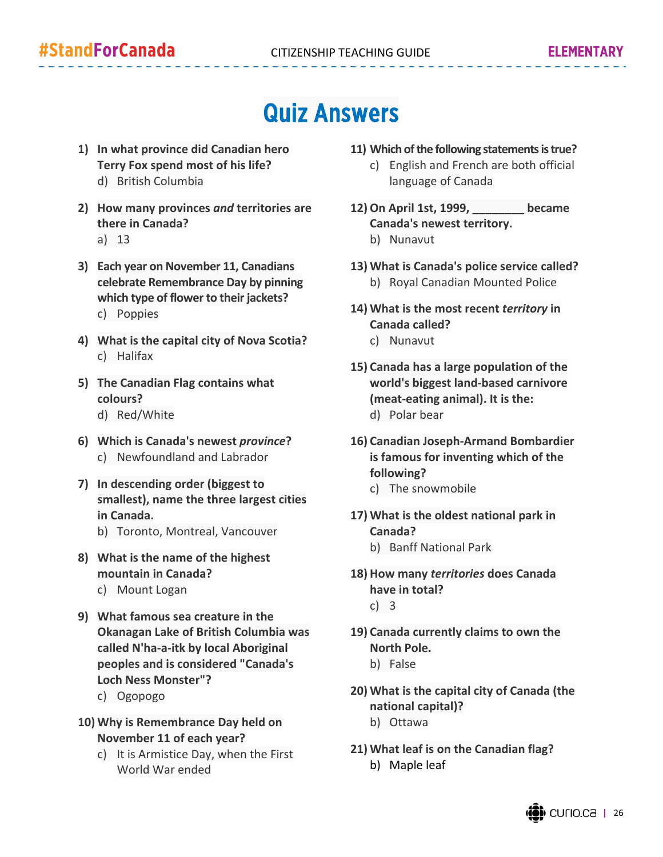### Quiz Answers

- **1) In what province did Canadian hero Terry Fox spend most of his life?** d) British Columbia
- **2) How many provinces** *and* **territories are there in Canada?** a) 13
- **3) Each year on November 11, Canadians celebrate Remembrance Day by pinning which type of flower to their jackets?** c) Poppies
- **4) What is the capital city of Nova Scotia?** c) Halifax
- **5) The Canadian Flag contains what colours?**
	- d) Red/White
- **6) Which is Canada's newest** *province***?** c) Newfoundland and Labrador
- **7) In descending order (biggest to smallest), name the three largest cities in Canada.**
	- b) Toronto, Montreal, Vancouver
- **8) What is the name of the highest mountain in Canada?**
	- c) Mount Logan
- **9) What famous sea creature in the Okanagan Lake of British Columbia was called N'ha‐a‐itk by local Aboriginal peoples and is considered "Canada's Loch Ness Monster"?**
	- c) Ogopogo
- **10) Why is Remembrance Day held on November 11 of each year?**
	- c) It is Armistice Day, when the First World War ended
- 11) Which of the following statements is true?
	- c) English and French are both official language of Canada
- **12) On April 1st, 1999, \_\_\_\_\_\_\_\_ became Canada's newest territory.**
	- b) Nunavut
- **13) What is Canada's police service called?** b) Royal Canadian Mounted Police
- **14) What is the most recent** *territory* **in Canada called?**
	- c) Nunavut
- **15) Canada has a large population of the world's biggest land‐based carnivore (meat‐eating animal). It is the:** d) Polar bear
- **16) Canadian Joseph‐Armand Bombardier is famous for inventing which of the following?**
	- c) The snowmobile
- **17) What is the oldest national park in Canada?**
	- b) Banff National Park
- **18) How many** *territories* **does Canada have in total?** c) 3
- **19) Canada currently claims to own the North Pole.**
	- b) False
- **20) What is the capital city of Canada (the national capital)?**
	- b) Ottawa
- **21) What leaf is on the Canadian flag?** b) Maple leaf